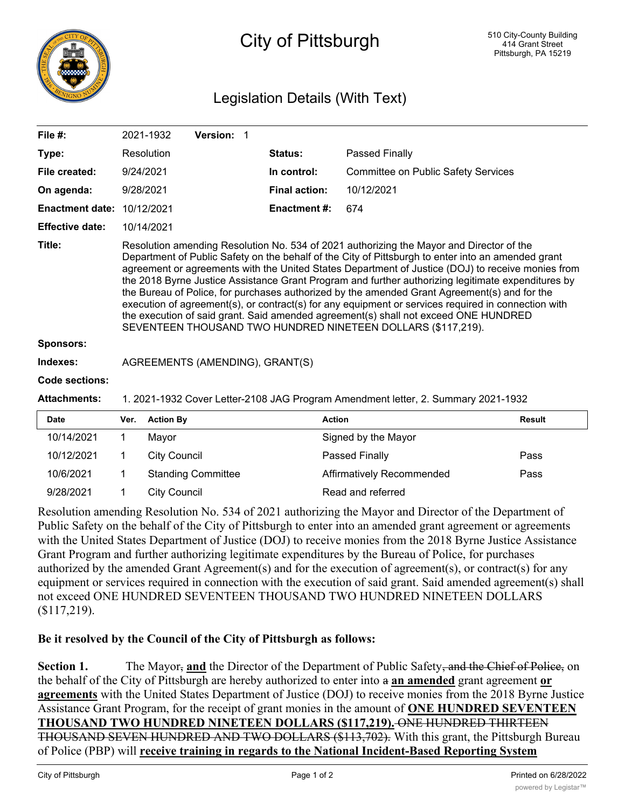

## City of Pittsburgh

## Legislation Details (With Text)

| File $#$ :             |                                                                                                                                                                                                                                                                                                                                                                                                                                                                                                                                                                                                                                                                                                                                                                         | 2021-1932        | Version: 1 |  |                     |                                            |               |  |  |
|------------------------|-------------------------------------------------------------------------------------------------------------------------------------------------------------------------------------------------------------------------------------------------------------------------------------------------------------------------------------------------------------------------------------------------------------------------------------------------------------------------------------------------------------------------------------------------------------------------------------------------------------------------------------------------------------------------------------------------------------------------------------------------------------------------|------------------|------------|--|---------------------|--------------------------------------------|---------------|--|--|
| Type:                  |                                                                                                                                                                                                                                                                                                                                                                                                                                                                                                                                                                                                                                                                                                                                                                         | Resolution       |            |  | Status:             | Passed Finally                             |               |  |  |
| File created:          | 9/24/2021                                                                                                                                                                                                                                                                                                                                                                                                                                                                                                                                                                                                                                                                                                                                                               |                  |            |  | In control:         | <b>Committee on Public Safety Services</b> |               |  |  |
| On agenda:             | 9/28/2021                                                                                                                                                                                                                                                                                                                                                                                                                                                                                                                                                                                                                                                                                                                                                               |                  |            |  | Final action:       | 10/12/2021                                 |               |  |  |
| <b>Enactment date:</b> |                                                                                                                                                                                                                                                                                                                                                                                                                                                                                                                                                                                                                                                                                                                                                                         | 10/12/2021       |            |  | <b>Enactment #:</b> | 674                                        |               |  |  |
| <b>Effective date:</b> |                                                                                                                                                                                                                                                                                                                                                                                                                                                                                                                                                                                                                                                                                                                                                                         | 10/14/2021       |            |  |                     |                                            |               |  |  |
| Title:                 | Resolution amending Resolution No. 534 of 2021 authorizing the Mayor and Director of the<br>Department of Public Safety on the behalf of the City of Pittsburgh to enter into an amended grant<br>agreement or agreements with the United States Department of Justice (DOJ) to receive monies from<br>the 2018 Byrne Justice Assistance Grant Program and further authorizing legitimate expenditures by<br>the Bureau of Police, for purchases authorized by the amended Grant Agreement(s) and for the<br>execution of agreement(s), or contract(s) for any equipment or services required in connection with<br>the execution of said grant. Said amended agreement(s) shall not exceed ONE HUNDRED<br>SEVENTEEN THOUSAND TWO HUNDRED NINETEEN DOLLARS (\$117,219). |                  |            |  |                     |                                            |               |  |  |
| <b>Sponsors:</b>       |                                                                                                                                                                                                                                                                                                                                                                                                                                                                                                                                                                                                                                                                                                                                                                         |                  |            |  |                     |                                            |               |  |  |
| Indexes:               | AGREEMENTS (AMENDING), GRANT(S)                                                                                                                                                                                                                                                                                                                                                                                                                                                                                                                                                                                                                                                                                                                                         |                  |            |  |                     |                                            |               |  |  |
| Code sections:         |                                                                                                                                                                                                                                                                                                                                                                                                                                                                                                                                                                                                                                                                                                                                                                         |                  |            |  |                     |                                            |               |  |  |
| <b>Attachments:</b>    | 1. 2021-1932 Cover Letter-2108 JAG Program Amendment letter, 2. Summary 2021-1932                                                                                                                                                                                                                                                                                                                                                                                                                                                                                                                                                                                                                                                                                       |                  |            |  |                     |                                            |               |  |  |
| <b>Date</b>            | Ver.                                                                                                                                                                                                                                                                                                                                                                                                                                                                                                                                                                                                                                                                                                                                                                    | <b>Action By</b> |            |  | <b>Action</b>       |                                            | <b>Result</b> |  |  |
| 10/14/2021             | 1                                                                                                                                                                                                                                                                                                                                                                                                                                                                                                                                                                                                                                                                                                                                                                       | Mayor            |            |  |                     | Signed by the Mayor                        |               |  |  |

| 10/14/2021 | Mavor                     | Signed by the Mayor       |      |
|------------|---------------------------|---------------------------|------|
| 10/12/2021 | City Council              | Passed Finally            | Pass |
| 10/6/2021  | <b>Standing Committee</b> | Affirmatively Recommended | Pass |
| 9/28/2021  | City Council              | Read and referred         |      |
|            |                           |                           |      |

Resolution amending Resolution No. 534 of 2021 authorizing the Mayor and Director of the Department of Public Safety on the behalf of the City of Pittsburgh to enter into an amended grant agreement or agreements with the United States Department of Justice (DOJ) to receive monies from the 2018 Byrne Justice Assistance Grant Program and further authorizing legitimate expenditures by the Bureau of Police, for purchases authorized by the amended Grant Agreement(s) and for the execution of agreement(s), or contract(s) for any equipment or services required in connection with the execution of said grant. Said amended agreement(s) shall not exceed ONE HUNDRED SEVENTEEN THOUSAND TWO HUNDRED NINETEEN DOLLARS (\$117,219).

## **Be it resolved by the Council of the City of Pittsburgh as follows:**

**Section 1.** The Mayor, **and** the Director of the Department of Public Safety, and the Chief of Police, on the behalf of the City of Pittsburgh are hereby authorized to enter into a **an amended** grant agreement **or agreements** with the United States Department of Justice (DOJ) to receive monies from the 2018 Byrne Justice Assistance Grant Program, for the receipt of grant monies in the amount of **ONE HUNDRED SEVENTEEN THOUSAND TWO HUNDRED NINETEEN DOLLARS (\$117,219).** ONE HUNDRED THIRTEEN THOUSAND SEVEN HUNDRED AND TWO DOLLARS (\$113,702). With this grant, the Pittsburgh Bureau of Police (PBP) will **receive training in regards to the National Incident-Based Reporting System**